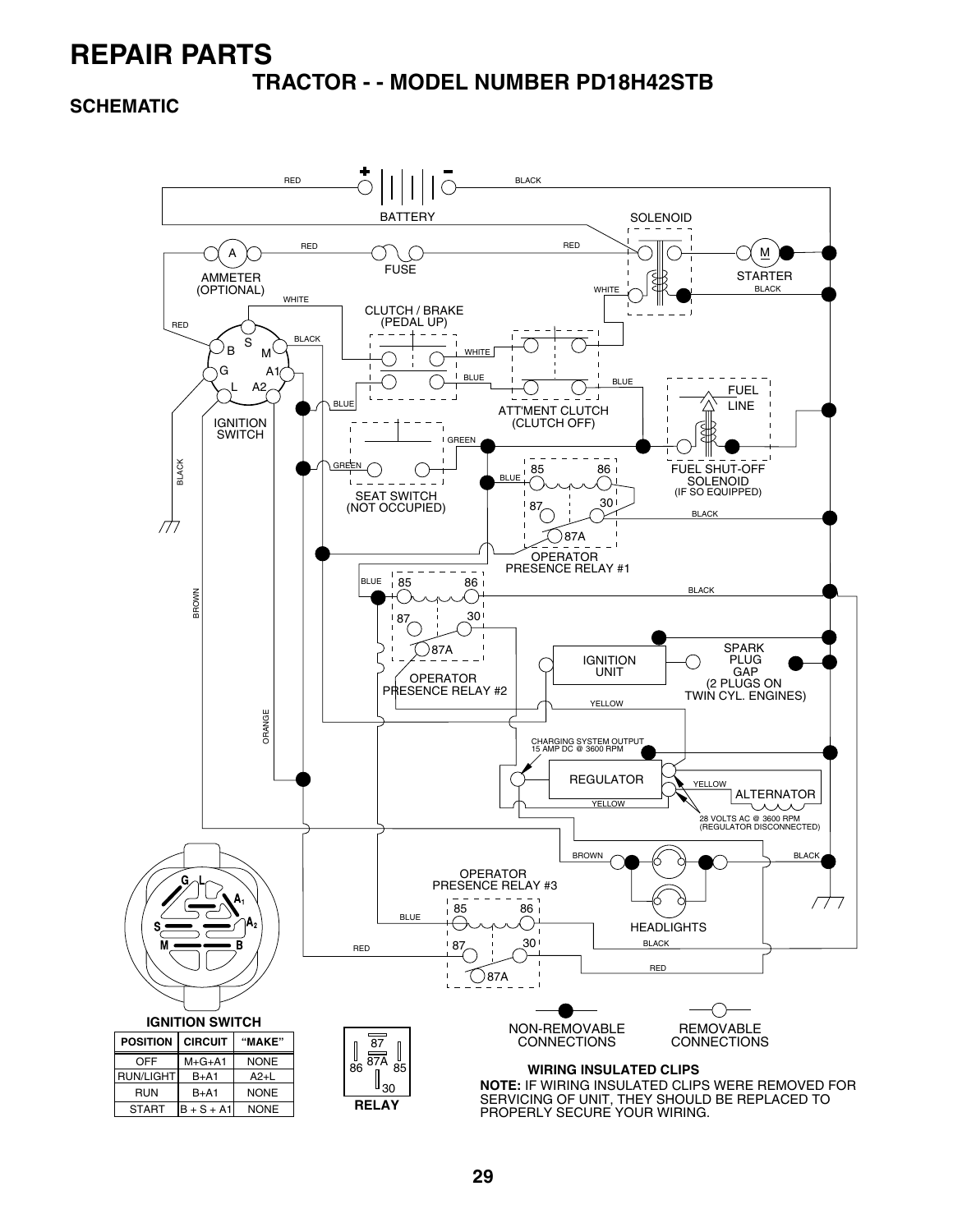**TRACTOR - - MODEL NUMBER PD18H42STB**

**SCHEMATIC**

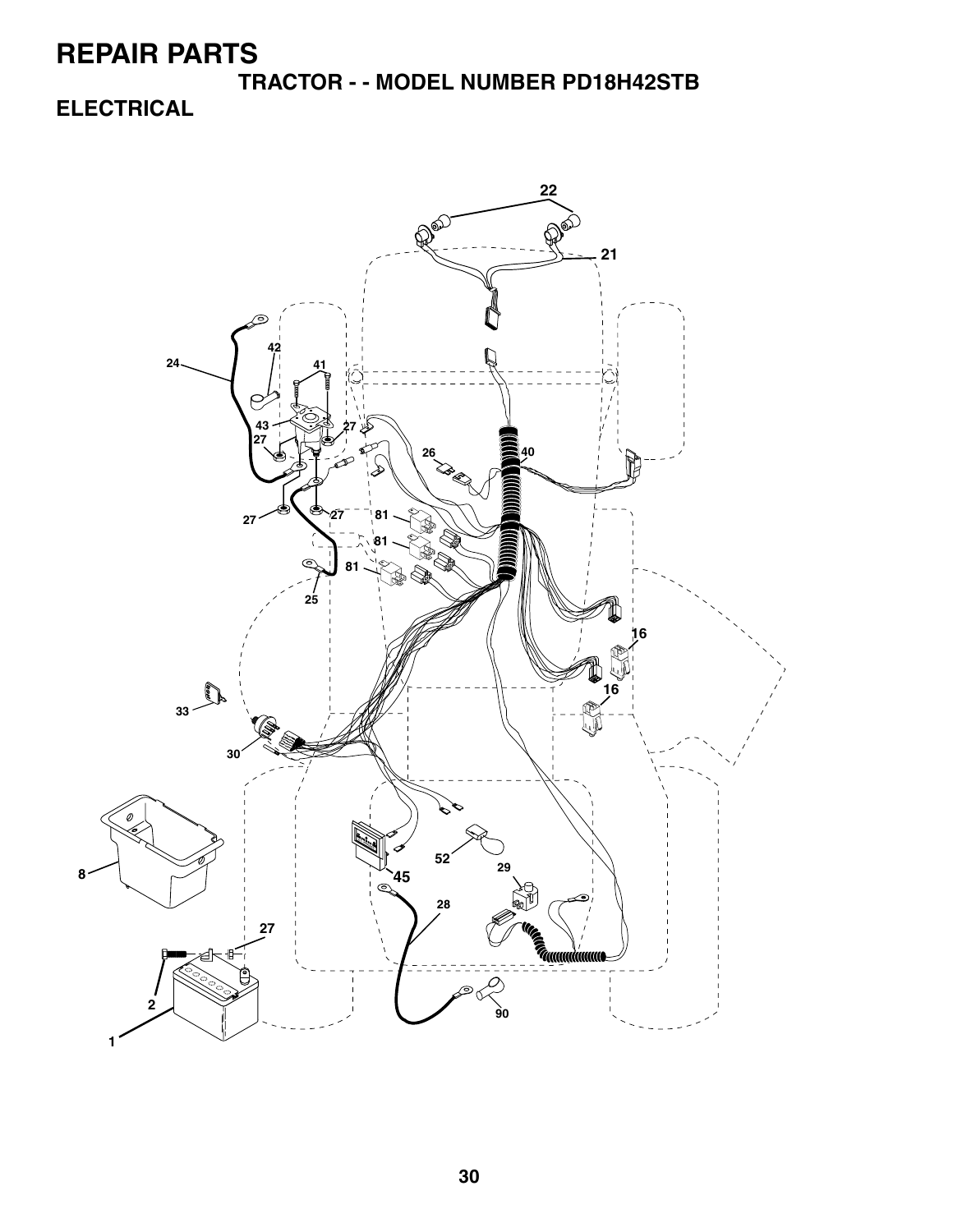**TRACTOR - - MODEL NUMBER PD18H42STB ELECTRICAL**

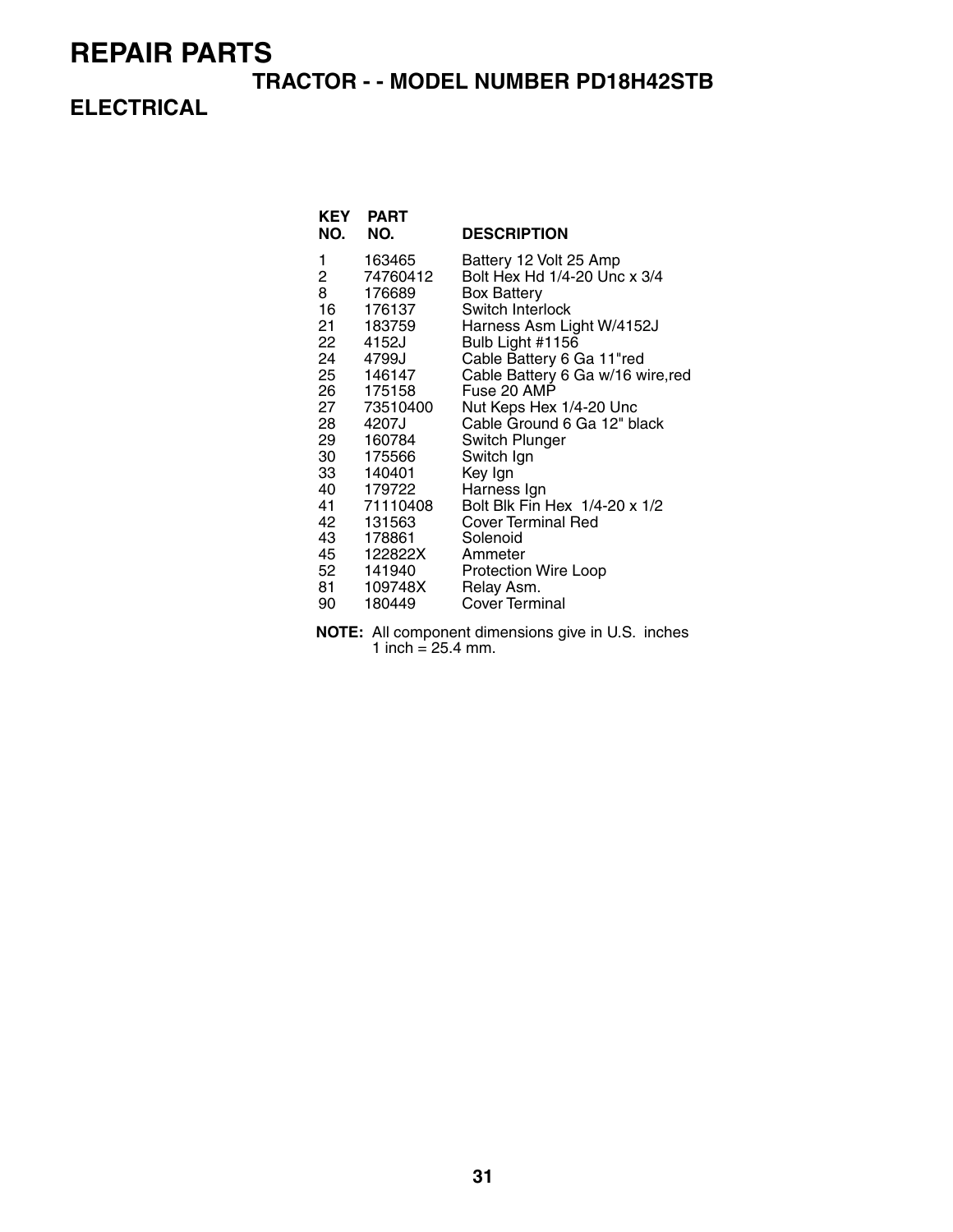#### **TRACTOR - - MODEL NUMBER PD18H42STB**

### **ELECTRICAL**

| <b>KEY</b><br>NO. | <b>PART</b><br>NO. | <b>DESCRIPTION</b>                                     |
|-------------------|--------------------|--------------------------------------------------------|
| 1<br>2            | 163465<br>74760412 | Battery 12 Volt 25 Amp<br>Bolt Hex Hd 1/4-20 Unc x 3/4 |
| 8                 | 176689             | <b>Box Battery</b>                                     |
| 16                | 176137             | Switch Interlock                                       |
| 21 —              | 183759             | Harness Asm Light W/4152J                              |
| 22                | 4152J              | Bulb Light #1156                                       |
| 24                | 4799J              | Cable Battery 6 Ga 11"red                              |
| 25                | 146147             | Cable Battery 6 Ga w/16 wire, red<br>Fuse 20 AMP       |
| 26<br>27 —        | 175158<br>73510400 | Nut Keps Hex 1/4-20 Unc                                |
| 28                | 4207J              | Cable Ground 6 Ga 12" black                            |
| 29 —              | 160784             | Switch Plunger                                         |
| 30                | 175566             | Switch Ign                                             |
| 33 —              | 140401             | Key Ign                                                |
| 40                | 179722             | Harness Ign                                            |
|                   | 41 71110408        | Bolt Blk Fin Hex 1/4-20 x 1/2                          |
| 42<br>43 —        | 131563<br>178861   | <b>Cover Terminal Red</b><br>Solenoid                  |
| 45 —              | 122822X            | Ammeter                                                |
| 52                | 141940             | <b>Protection Wire Loop</b>                            |
| 81 —              | 109748X            | Relay Asm.                                             |
| 90                | 180449             | <b>Cover Terminal</b>                                  |
|                   |                    |                                                        |

**NOTE:** All component dimensions give in U.S. inches 1 inch =  $25.4$  mm.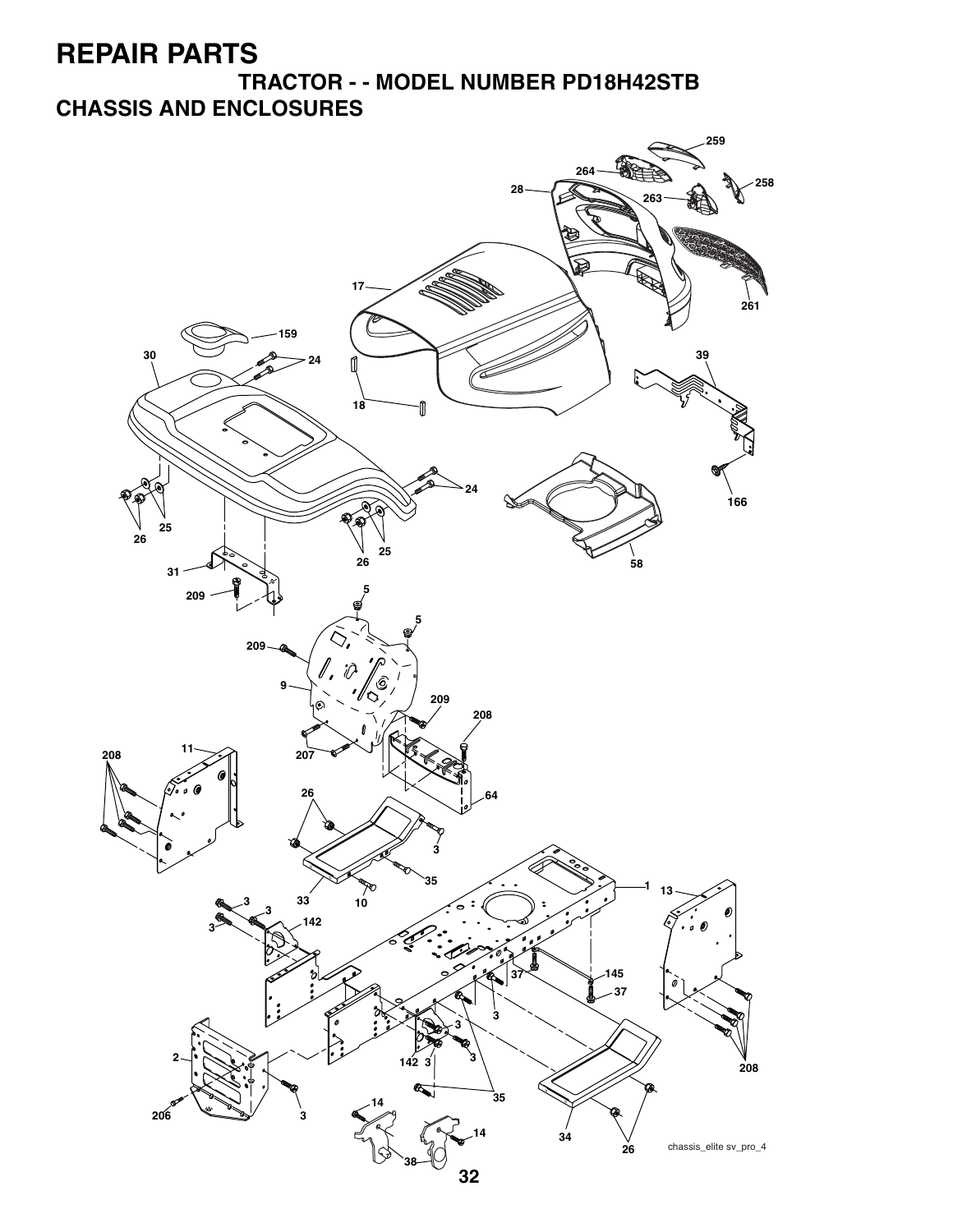**TRACTOR - - MODEL NUMBER PD18H42STB CHASSIS AND ENCLOSURES**

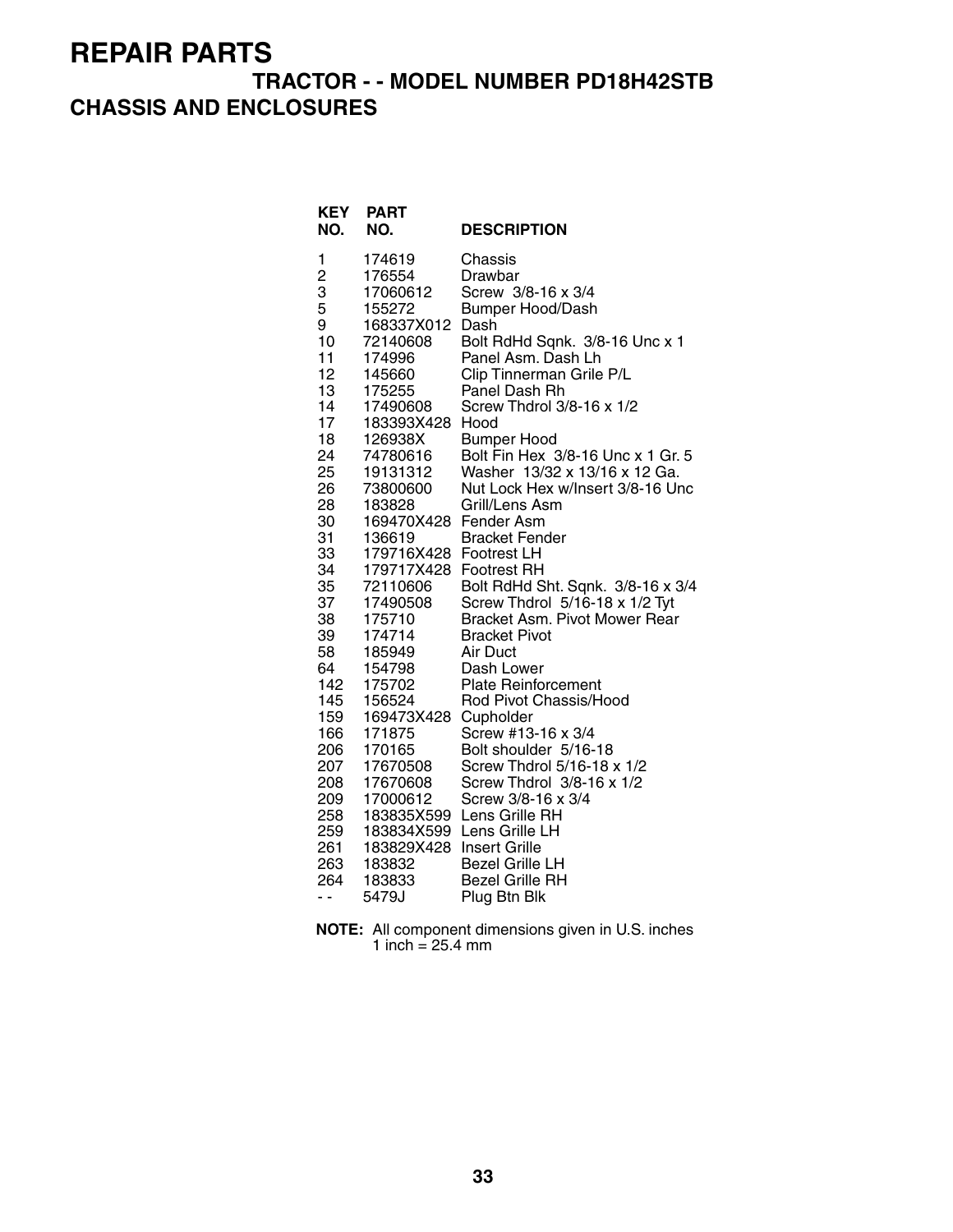### **TRACTOR - - MODEL NUMBER PD18H42STB CHASSIS AND ENCLOSURES**

| <b>KEY</b><br>NO.                      | <b>PART</b><br>NO.                                                                                        | <b>DESCRIPTION</b>                                                                                                                     |
|----------------------------------------|-----------------------------------------------------------------------------------------------------------|----------------------------------------------------------------------------------------------------------------------------------------|
| 1                                      | 174619                                                                                                    | Chassis                                                                                                                                |
| $\overline{\mathbf{c}}$                | 176554                                                                                                    | Drawbar                                                                                                                                |
| 3                                      | 17060612                                                                                                  | Screw 3/8-16 x 3/4                                                                                                                     |
| 5                                      | 155272                                                                                                    | Bumper Hood/Dash                                                                                                                       |
| 9                                      | 168337X012                                                                                                | Dash                                                                                                                                   |
| 10                                     | 72140608                                                                                                  | Bolt RdHd Sqnk. 3/8-16 Unc x 1                                                                                                         |
| 11                                     | 174996                                                                                                    | Panel Asm. Dash Lh                                                                                                                     |
| 12                                     | 145660                                                                                                    | Clip Tinnerman Grile P/L                                                                                                               |
| 13                                     | 175255                                                                                                    | Panel Dash Rh                                                                                                                          |
| 14                                     | 17490608                                                                                                  | Screw Thdrol 3/8-16 x 1/2                                                                                                              |
| 17                                     | 183393X428                                                                                                | Hood                                                                                                                                   |
| 18                                     | 126938X                                                                                                   | <b>Bumper Hood</b>                                                                                                                     |
| 24                                     | 74780616                                                                                                  | Bolt Fin Hex 3/8-16 Unc x 1 Gr. 5                                                                                                      |
| 25                                     | 19131312                                                                                                  | Washer 13/32 x 13/16 x 12 Ga.                                                                                                          |
| 26<br>28<br>30<br>31<br>33<br>34<br>35 | 73800600<br>183828<br>169470X428 Fender Asm<br>136619<br>179716X428<br>179717X428 Footrest RH<br>72110606 | Nut Lock Hex w/Insert 3/8-16 Unc<br>Grill/Lens Asm<br><b>Bracket Fender</b><br><b>Footrest LH</b><br>Bolt RdHd Sht. Sqnk. 3/8-16 x 3/4 |
| 37                                     | 17490508                                                                                                  | Screw Thdrol 5/16-18 x 1/2 Tyt                                                                                                         |
| 38                                     | 175710                                                                                                    | Bracket Asm. Pivot Mower Rear                                                                                                          |
| 39                                     | 174714                                                                                                    | <b>Bracket Pivot</b>                                                                                                                   |
| 58                                     | 185949                                                                                                    | Air Duct                                                                                                                               |
| 64                                     | 154798                                                                                                    | Dash Lower                                                                                                                             |
| 142                                    | 175702                                                                                                    | <b>Plate Reinforcement</b>                                                                                                             |
| 145                                    | 156524                                                                                                    | Rod Pivot Chassis/Hood                                                                                                                 |
| 159                                    | 169473X428                                                                                                | Cupholder                                                                                                                              |
| 166                                    | 171875                                                                                                    | Screw #13-16 x 3/4                                                                                                                     |
| 206                                    | 170165                                                                                                    | Bolt shoulder 5/16-18                                                                                                                  |
| 207                                    | 17670508                                                                                                  | Screw Thdrol 5/16-18 x 1/2                                                                                                             |
| 208                                    | 17670608                                                                                                  | Screw Thdrol 3/8-16 x 1/2                                                                                                              |
| 209                                    | 17000612                                                                                                  | Screw 3/8-16 x 3/4                                                                                                                     |
| 258                                    | 183835X599                                                                                                | Lens Grille RH                                                                                                                         |
| 259<br>261<br>263<br>264<br>- -        | 183829X428 Insert Grille<br>183832<br>183833<br>5479J                                                     |                                                                                                                                        |

**NOTE:** All component dimensions given in U.S. inches 1 inch  $= 25.4$  mm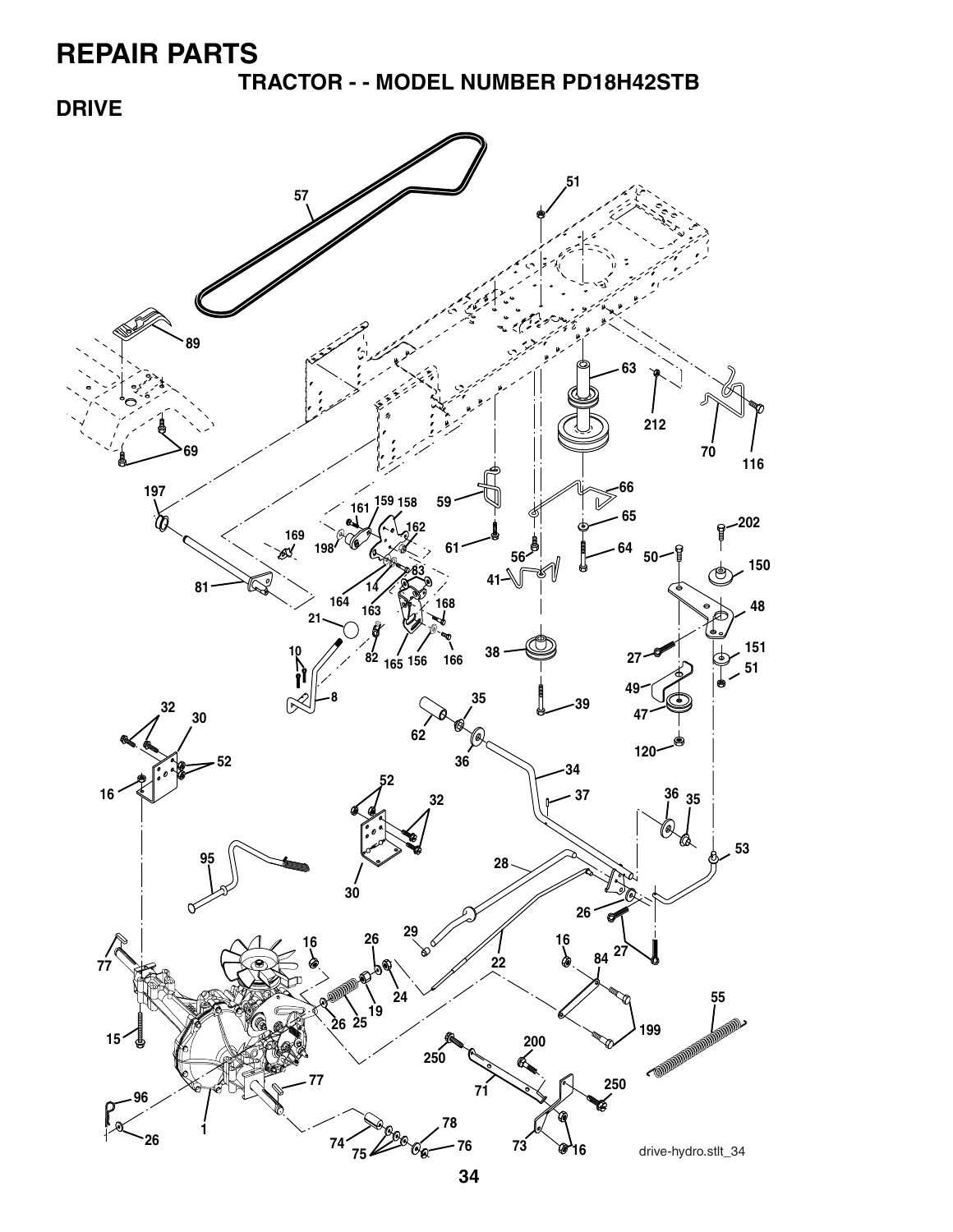**TRACTOR - - MODEL NUMBER PD18H42STB**

### **DRIVE**

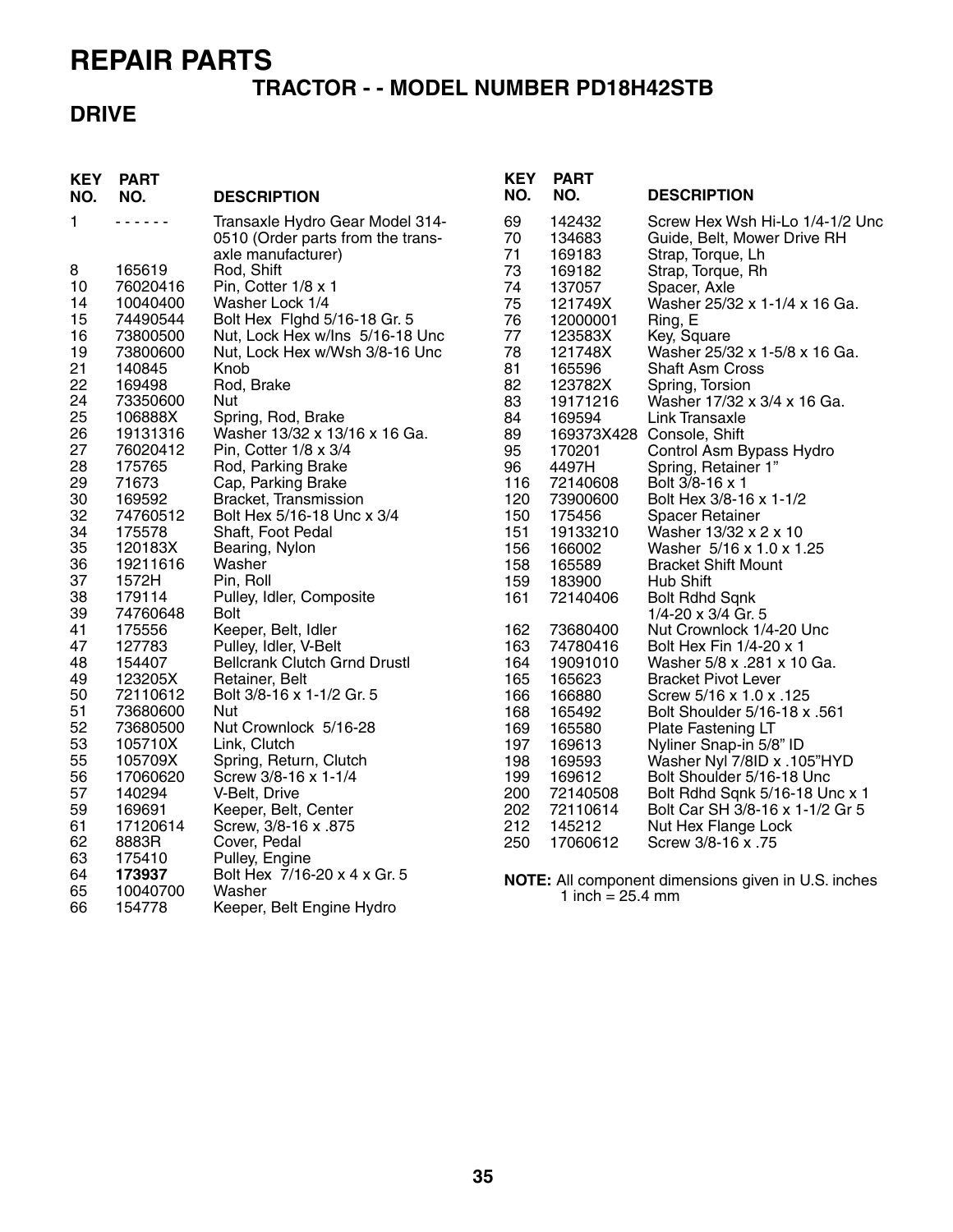#### **TRACTOR - - MODEL NUMBER PD18H42STB**

#### **DRIVE**

| <b>KEY</b><br>NO.                                                                                                                                                                                                  | <b>PART</b><br>NO.                                                                                                                                                                                                                                                                                                                                                                                 | <b>DESCRIPTION</b>                                                                                                                                                                                                                                                                                                                                                                                                                                                                                                                                                                                                                                                                                                                                                                                                                                                                        | <b>KEY</b><br>NO.                                                                                                                                                                                                                               | <b>PART</b><br>NO.                                                                                                                                                                                                                                                                                                                                                                            | <b>DESCRIPTION</b>                                                                                                                                                                                                                                                                                                                                                                                                                                                                                                                                                                                                                                                                                                                                                                                                                                                                                                                                                                                                      |
|--------------------------------------------------------------------------------------------------------------------------------------------------------------------------------------------------------------------|----------------------------------------------------------------------------------------------------------------------------------------------------------------------------------------------------------------------------------------------------------------------------------------------------------------------------------------------------------------------------------------------------|-------------------------------------------------------------------------------------------------------------------------------------------------------------------------------------------------------------------------------------------------------------------------------------------------------------------------------------------------------------------------------------------------------------------------------------------------------------------------------------------------------------------------------------------------------------------------------------------------------------------------------------------------------------------------------------------------------------------------------------------------------------------------------------------------------------------------------------------------------------------------------------------|-------------------------------------------------------------------------------------------------------------------------------------------------------------------------------------------------------------------------------------------------|-----------------------------------------------------------------------------------------------------------------------------------------------------------------------------------------------------------------------------------------------------------------------------------------------------------------------------------------------------------------------------------------------|-------------------------------------------------------------------------------------------------------------------------------------------------------------------------------------------------------------------------------------------------------------------------------------------------------------------------------------------------------------------------------------------------------------------------------------------------------------------------------------------------------------------------------------------------------------------------------------------------------------------------------------------------------------------------------------------------------------------------------------------------------------------------------------------------------------------------------------------------------------------------------------------------------------------------------------------------------------------------------------------------------------------------|
| 1<br>8<br>10<br>14<br>15<br>16<br>19<br>21<br>22<br>24<br>25<br>26<br>27<br>28<br>29<br>30<br>32<br>34<br>35<br>36<br>37<br>38<br>39<br>41<br>47<br>48<br>49<br>50<br>51<br>52<br>53<br>55<br>56<br>57<br>59<br>61 | .<br>165619<br>76020416<br>10040400<br>74490544<br>73800500<br>73800600<br>140845<br>169498<br>73350600<br>106888X<br>19131316<br>76020412<br>175765<br>71673<br>169592<br>74760512<br>175578<br>120183X<br>19211616<br>1572H<br>179114<br>74760648<br>175556<br>127783<br>154407<br>123205X<br>72110612<br>73680600<br>73680500<br>105710X<br>105709X<br>17060620<br>140294<br>169691<br>17120614 | Transaxle Hydro Gear Model 314-<br>0510 (Order parts from the trans-<br>axle manufacturer)<br>Rod, Shift<br>Pin, Cotter 1/8 x 1<br>Washer Lock 1/4<br>Bolt Hex Fighd 5/16-18 Gr. 5<br>Nut, Lock Hex w/Ins 5/16-18 Unc<br>Nut, Lock Hex w/Wsh 3/8-16 Unc<br>Knob<br>Rod, Brake<br>Nut<br>Spring, Rod, Brake<br>Washer 13/32 x 13/16 x 16 Ga.<br>Pin, Cotter 1/8 x 3/4<br>Rod, Parking Brake<br>Cap, Parking Brake<br>Bracket, Transmission<br>Bolt Hex 5/16-18 Unc x 3/4<br>Shaft, Foot Pedal<br>Bearing, Nylon<br>Washer<br>Pin, Roll<br>Pulley, Idler, Composite<br><b>Bolt</b><br>Keeper, Belt, Idler<br>Pulley, Idler, V-Belt<br><b>Bellcrank Clutch Grnd Drustl</b><br>Retainer, Belt<br>Bolt 3/8-16 x 1-1/2 Gr. 5<br>Nut<br>Nut Crownlock 5/16-28<br>Link, Clutch<br>Spring, Return, Clutch<br>Screw 3/8-16 x 1-1/4<br>V-Belt, Drive<br>Keeper, Belt, Center<br>Screw, 3/8-16 x .875 | 69<br>70<br>71<br>73<br>74<br>75<br>76<br>77<br>78<br>81<br>82<br>83<br>84<br>89<br>95<br>96<br>116<br>120<br>150<br>151<br>156<br>158<br>159<br>161<br>162<br>163<br>164<br>165<br>166<br>168<br>169<br>197<br>198<br>199<br>200<br>202<br>212 | 142432<br>134683<br>169183<br>169182<br>137057<br>121749X<br>12000001<br>123583X<br>121748X<br>165596<br>123782X<br>19171216<br>169594<br>170201<br>4497H<br>72140608<br>73900600<br>175456<br>19133210<br>166002<br>165589<br>183900<br>72140406<br>73680400<br>74780416<br>19091010<br>165623<br>166880<br>165492<br>165580<br>169613<br>169593<br>169612<br>72140508<br>72110614<br>145212 | Screw Hex Wsh Hi-Lo 1/4-1/2 Unc<br>Guide, Belt, Mower Drive RH<br>Strap, Torque, Lh<br>Strap, Torque, Rh<br>Spacer, Axle<br>Washer 25/32 x 1-1/4 x 16 Ga.<br>Ring, E<br>Key, Square<br>Washer 25/32 x 1-5/8 x 16 Ga.<br><b>Shaft Asm Cross</b><br>Spring, Torsion<br>Washer 17/32 x 3/4 x 16 Ga.<br>Link Transaxle<br>169373X428 Console, Shift<br>Control Asm Bypass Hydro<br>Spring, Retainer 1"<br>Bolt 3/8-16 x 1<br>Bolt Hex 3/8-16 x 1-1/2<br><b>Spacer Retainer</b><br>Washer 13/32 x 2 x 10<br>Washer 5/16 x 1.0 x 1.25<br><b>Bracket Shift Mount</b><br><b>Hub Shift</b><br><b>Bolt Rdhd Sqnk</b><br>1/4-20 x 3/4 Gr. 5<br>Nut Crownlock 1/4-20 Unc<br>Bolt Hex Fin 1/4-20 x 1<br>Washer 5/8 x .281 x 10 Ga.<br><b>Bracket Pivot Lever</b><br>Screw 5/16 x 1.0 x .125<br>Bolt Shoulder 5/16-18 x .561<br>Plate Fastening LT<br>Nyliner Snap-in 5/8" ID<br>Washer Nyl 7/8ID x .105"HYD<br>Bolt Shoulder 5/16-18 Unc<br>Bolt Rdhd Sqnk 5/16-18 Unc x 1<br>Bolt Car SH 3/8-16 x 1-1/2 Gr 5<br>Nut Hex Flange Lock |
| 62<br>63<br>64<br>65<br>66                                                                                                                                                                                         | 8883R<br>175410<br>173937<br>10040700<br>154778                                                                                                                                                                                                                                                                                                                                                    | Cover, Pedal<br>Pulley, Engine<br>Bolt Hex 7/16-20 x 4 x Gr. 5<br>Washer<br>Keeper, Belt Engine Hydro                                                                                                                                                                                                                                                                                                                                                                                                                                                                                                                                                                                                                                                                                                                                                                                     | 250                                                                                                                                                                                                                                             | 17060612<br>1 inch = $25.4 \text{ mm}$                                                                                                                                                                                                                                                                                                                                                        | Screw 3/8-16 x .75<br>NOTE: All component dimensions given in U.S. inches                                                                                                                                                                                                                                                                                                                                                                                                                                                                                                                                                                                                                                                                                                                                                                                                                                                                                                                                               |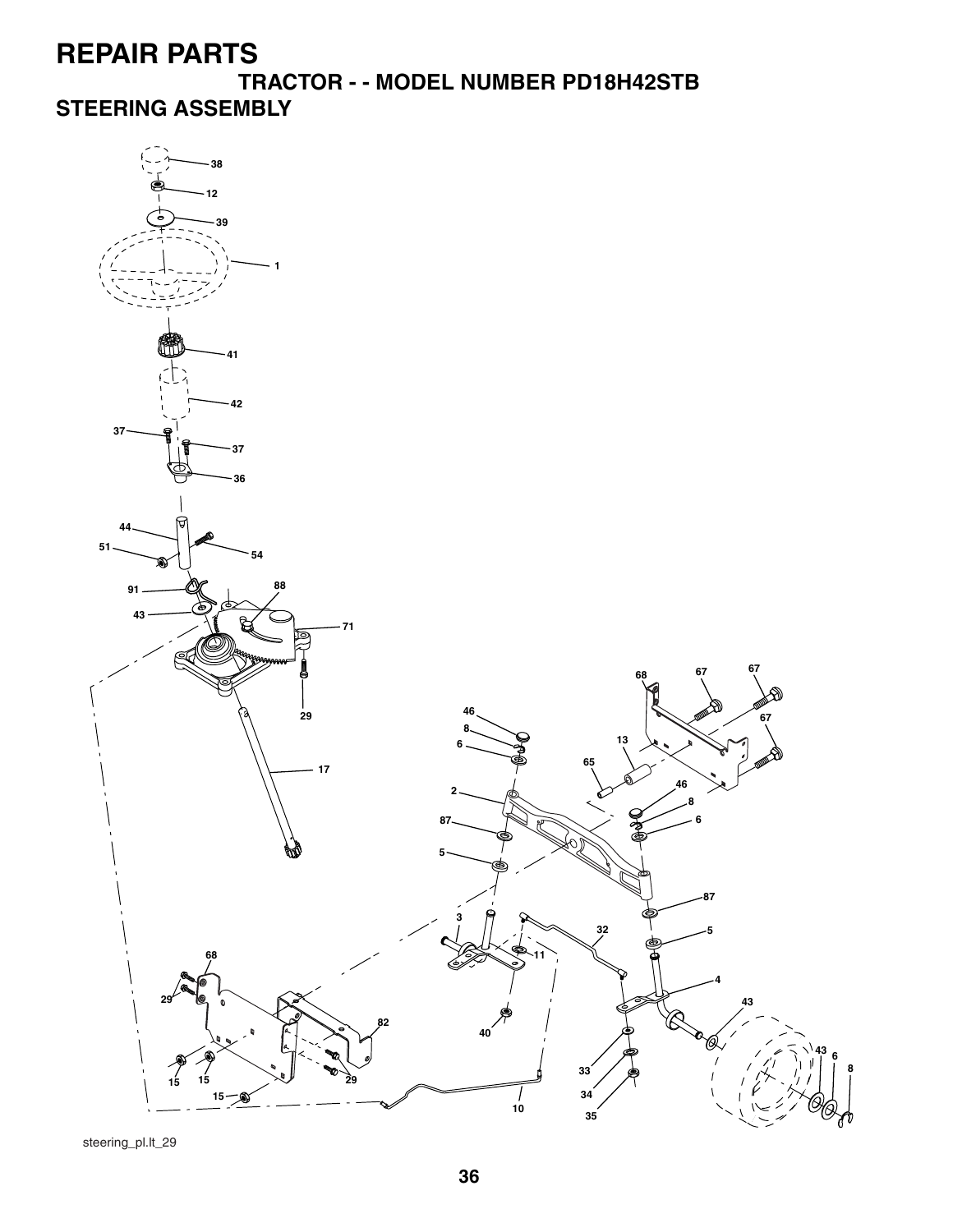**TRACTOR - - MODEL NUMBER PD18H42STB**

**STEERING ASSEMBLY**



steering\_pl.lt\_29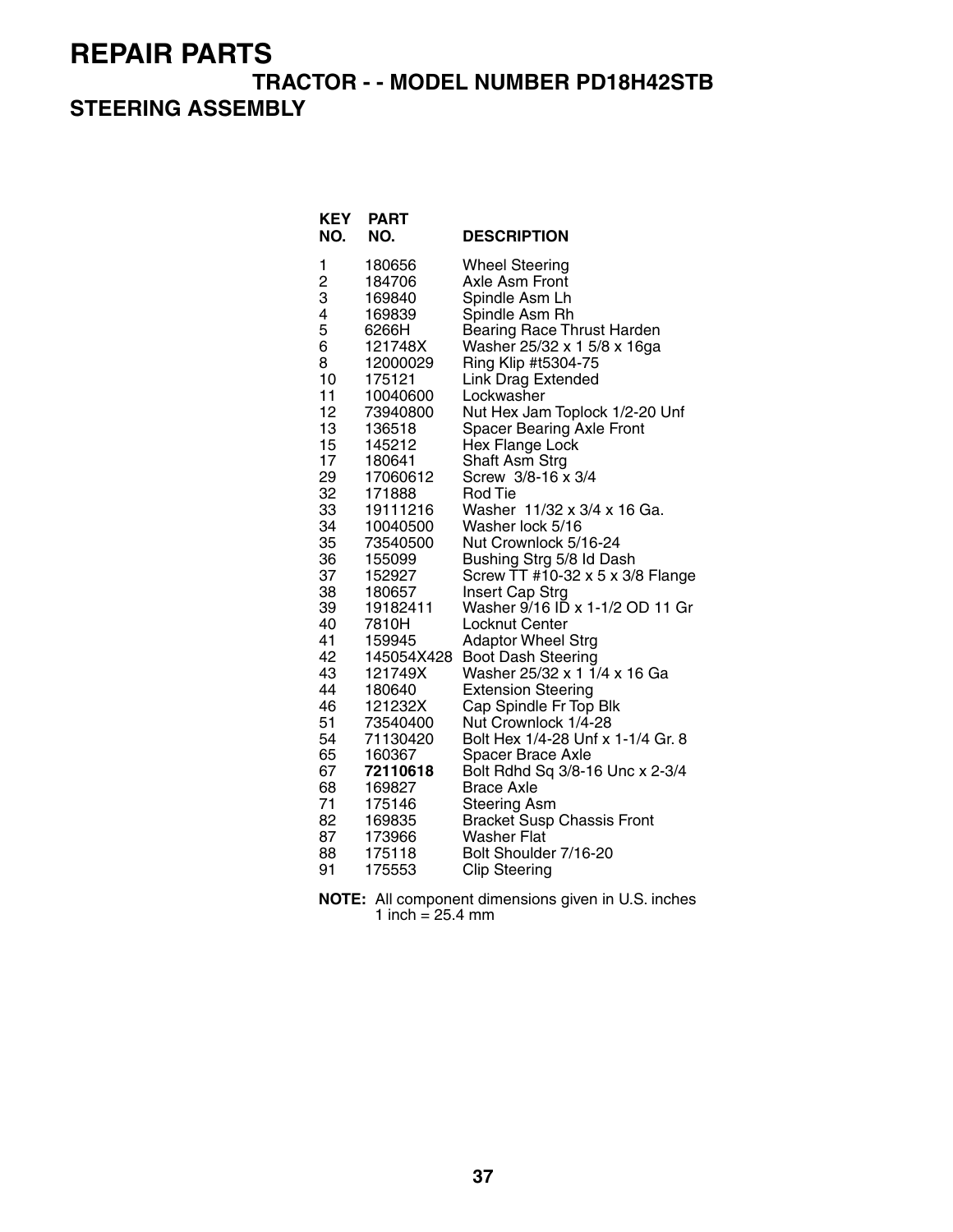#### **TRACTOR - - MODEL NUMBER PD18H42STB**

### **STEERING ASSEMBLY**

| <b>KEY</b><br>NO. | <b>PART</b><br>NO. | <b>DESCRIPTION</b>                |
|-------------------|--------------------|-----------------------------------|
| 1                 | 180656             | <b>Wheel Steering</b>             |
| 2                 | 184706             | <b>Axle Asm Front</b>             |
| 3                 | 169840             | Spindle Asm Lh                    |
| 4                 | 169839             | Spindle Asm Rh                    |
| 5                 | 6266H              | <b>Bearing Race Thrust Harden</b> |
| 6                 | 121748X            | Washer 25/32 x 1 5/8 x 16ga       |
| 8                 | 12000029           | Ring Klip #t5304-75               |
| 10                | 175121             | <b>Link Drag Extended</b>         |
| 11                | 10040600           | Lockwasher                        |
| 12                | 73940800           | Nut Hex Jam Toplock 1/2-20 Unf    |
| 13                | 136518             | <b>Spacer Bearing Axle Front</b>  |
| 15                | 145212             | Hex Flange Lock                   |
| 17                | 180641             | Shaft Asm Strg                    |
| 29                | 17060612           | Screw 3/8-16 x 3/4                |
| 32                | 171888             | <b>Rod Tie</b>                    |
| 33                | 19111216           | Washer 11/32 x 3/4 x 16 Ga.       |
| 34                | 10040500           | Washer lock 5/16                  |
| 35                | 73540500           | Nut Crownlock 5/16-24             |
| 36                | 155099             | Bushing Strg 5/8 Id Dash          |
| 37                | 152927             | Screw TT #10-32 x 5 x 3/8 Flange  |
| 38                | 180657             | Insert Cap Strg                   |
| 39                | 19182411           | Washer 9/16 ID x 1-1/2 OD 11 Gr   |
| 40                | 7810H              | Locknut Center                    |
| 41                | 159945             | <b>Adaptor Wheel Strg</b>         |
| 42                | 145054X428         | <b>Boot Dash Steering</b>         |
| 43                | 121749X            | Washer 25/32 x 1 1/4 x 16 Ga      |
| 44                | 180640             | <b>Extension Steering</b>         |
| 46                | 121232X            | Cap Spindle Fr Top Blk            |
| 51                | 73540400           | Nut Crownlock 1/4-28              |
| 54                | 71130420           | Bolt Hex 1/4-28 Unf x 1-1/4 Gr. 8 |
| 65                | 160367             | <b>Spacer Brace Axle</b>          |
| 67                | 72110618           | Bolt Rdhd Sq 3/8-16 Unc x 2-3/4   |
| 68                | 169827             | <b>Brace Axle</b>                 |
| 71                | 175146             | <b>Steering Asm</b>               |
| 82                | 169835             | <b>Bracket Susp Chassis Front</b> |
| 87                | 173966             | <b>Washer Flat</b>                |
| 88                | 175118             | Bolt Shoulder 7/16-20             |
| 91                | 175553             | <b>Clip Steering</b>              |

**NOTE:** All component dimensions given in U.S. inches 1 inch = 25.4 mm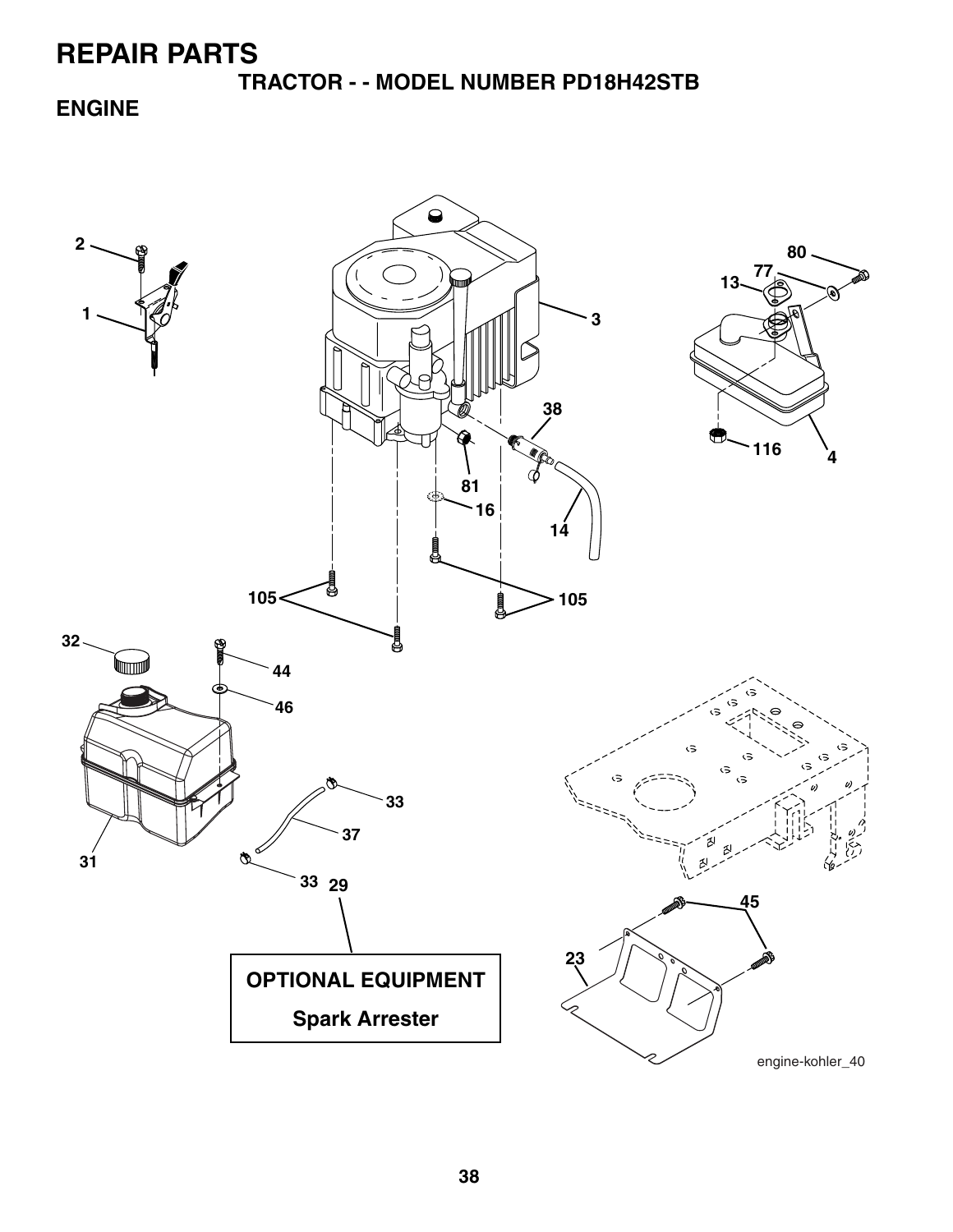**TRACTOR - - MODEL NUMBER PD18H42STB**

**ENGINE**

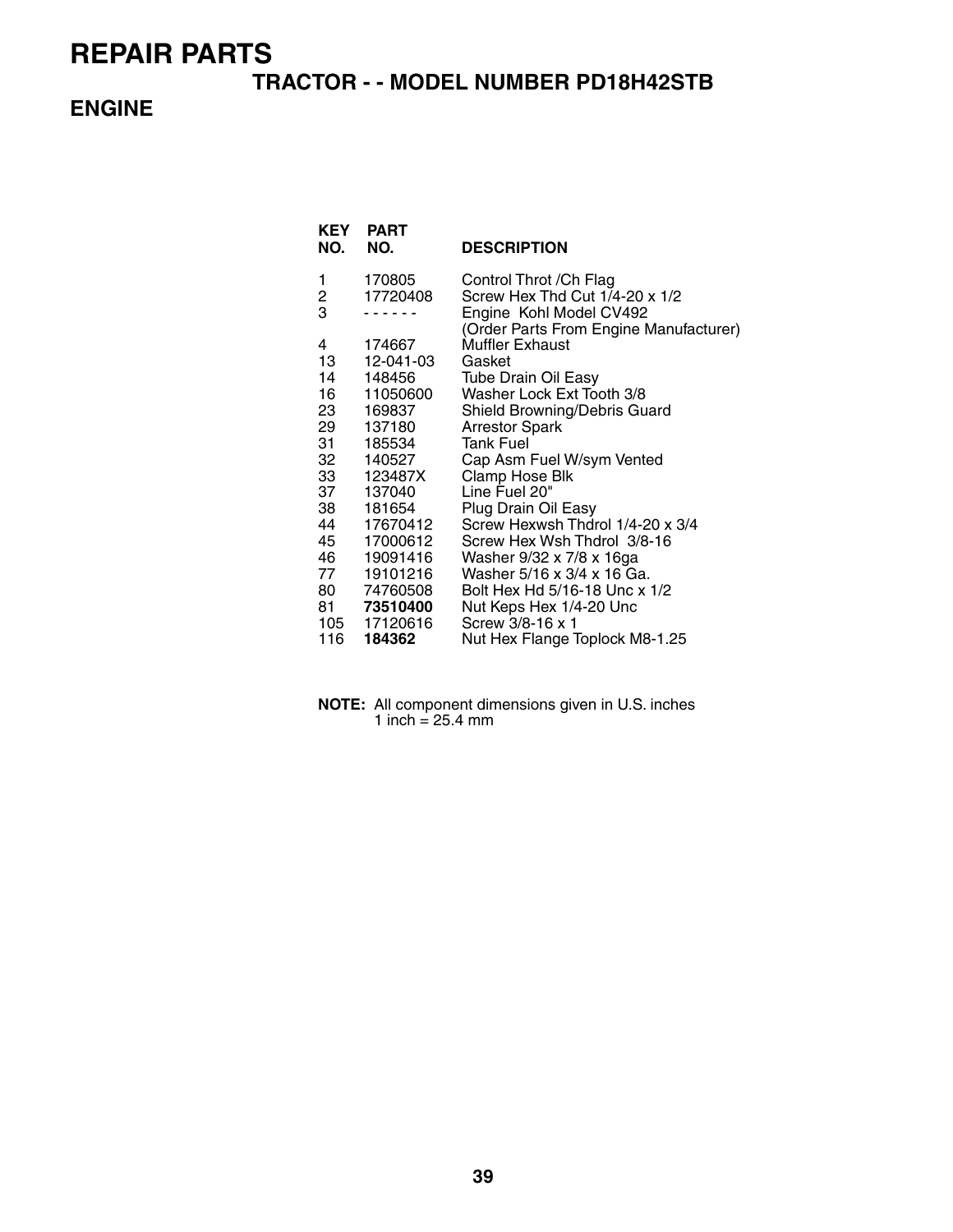#### **TRACTOR - - MODEL NUMBER PD18H42STB**

#### **ENGINE**

| KEY<br>NO. | <b>PART</b><br>NO. | <b>DESCRIPTION</b>                                                |
|------------|--------------------|-------------------------------------------------------------------|
| 1          | 170805             | Control Throt / Ch Flag                                           |
| 2          | 17720408           | Screw Hex Thd Cut 1/4-20 x 1/2                                    |
| 3          |                    | Engine Kohl Model CV492<br>(Order Parts From Engine Manufacturer) |
| 4          | 174667             | <b>Muffler Exhaust</b>                                            |
| 13         | 12-041-03          | Gasket                                                            |
| 14         | 148456             | <b>Tube Drain Oil Easy</b>                                        |
| 16 —       | 11050600           | Washer Lock Ext Tooth 3/8                                         |
| 23         | 169837             | Shield Browning/Debris Guard                                      |
| 29         | 137180             | <b>Arrestor Spark</b>                                             |
| 31         | 185534             | <b>Tank Fuel</b>                                                  |
| 32         | 140527             | Cap Asm Fuel W/sym Vented                                         |
| 33         | 123487X            | Clamp Hose Blk                                                    |
| 37 —       | 137040             | Line Fuel 20"                                                     |
| 38         | 181654             | Plug Drain Oil Easy                                               |
| 44         | 17670412           | Screw Hexwsh Thdrol 1/4-20 x 3/4                                  |
| 45         | 17000612           | Screw Hex Wsh Thdrol 3/8-16                                       |
| 46         | 19091416           | Washer 9/32 x 7/8 x 16ga                                          |
| 77         | 19101216           | Washer 5/16 x 3/4 x 16 Ga.                                        |
|            | 80 74760508        | Bolt Hex Hd 5/16-18 Unc x 1/2                                     |
|            | 81 73510400        | Nut Keps Hex 1/4-20 Unc                                           |
| 105        | 17120616           | Screw 3/8-16 x 1                                                  |
| 116        | 184362             | Nut Hex Flange Toplock M8-1.25                                    |

| <b>NOTE:</b> All component dimensions given in U.S. inches |
|------------------------------------------------------------|
| 1 inch = $25.4 \text{ mm}$                                 |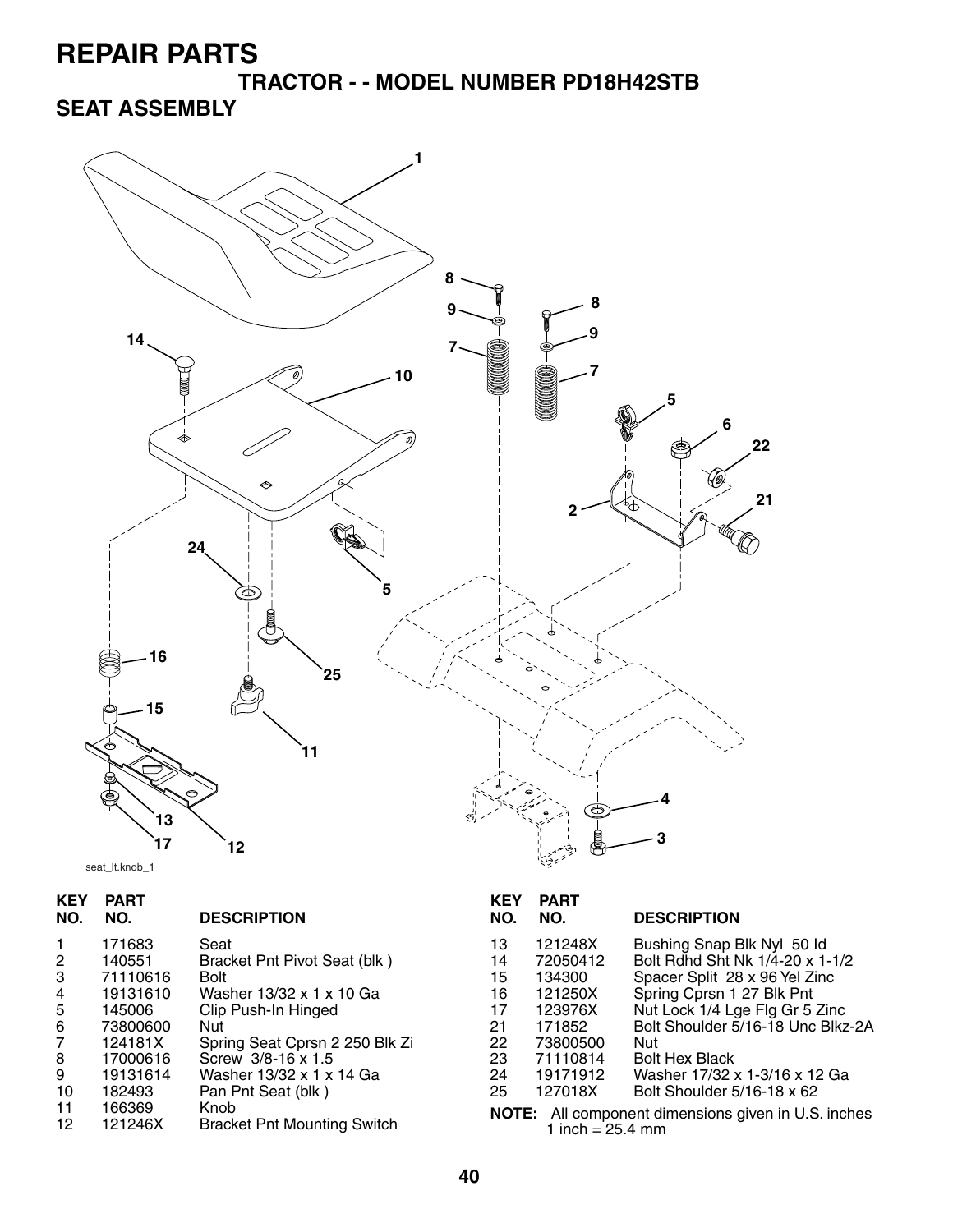**TRACTOR - - MODEL NUMBER PD18H42STB**

### **SEAT ASSEMBLY**



seat\_lt.knob\_1

| NO. NO. | <b>KEY PART</b> | <b>DESCRIPTION</b> |
|---------|-----------------|--------------------|
|         | 171683          | ادە؟               |

|    | 171683   | Seat                               | 13 | 121248X            | Bushing Snap Blk Nyl 50 ld                                 |
|----|----------|------------------------------------|----|--------------------|------------------------------------------------------------|
| 2  | 140551   | Bracket Pnt Pivot Seat (blk)       | 14 | 72050412           | Bolt Rdhd Sht Nk 1/4-20 x 1-1/2                            |
| 3  | 71110616 | <b>Bolt</b>                        | 15 | 134300             | Spacer Split 28 x 96 Yel Zinc                              |
| 4  | 19131610 | Washer 13/32 x 1 x 10 Ga           | 16 | 121250X            | Spring Cprsn 1 27 Blk Pnt                                  |
| 5  | 145006   | Clip Push-In Hinged                | 17 | 123976X            | Nut Lock 1/4 Lge Flg Gr 5 Zinc                             |
| 6  | 73800600 | Nut                                | 21 | 171852             | Bolt Shoulder 5/16-18 Unc Blkz-2A                          |
| 7  | 124181X  | Spring Seat Cprsn 2 250 Blk Zi     | 22 | 73800500           | . Nut                                                      |
| 8  | 17000616 | Screw 3/8-16 x 1.5                 | 23 | 71110814           | <b>Bolt Hex Black</b>                                      |
| 9  | 19131614 | Washer 13/32 x 1 x 14 Ga           | 24 | 19171912           | Washer 17/32 x 1-3/16 x 12 Ga                              |
| 10 | 182493   | Pan Pnt Seat (blk)                 | 25 | 127018X            | Bolt Shoulder 5/16-18 x 62                                 |
| 11 | 166369   | Knob                               |    |                    | <b>NOTE:</b> All component dimensions given in U.S. inches |
| 12 | 121246X  | <b>Bracket Pnt Mounting Switch</b> |    | 1 inch = $25.4$ mm |                                                            |

| KEY<br>NO.                                                                               | PART<br>NO. | <b>DESCRIPTION</b>                |  |
|------------------------------------------------------------------------------------------|-------------|-----------------------------------|--|
| 13                                                                                       | 121248X     | Bushing Snap Blk Nyl 50 ld        |  |
| 14                                                                                       | 72050412    | Bolt Rdhd Sht Nk 1/4-20 x 1-1/2   |  |
| 15                                                                                       | 134300      | Spacer Split 28 x 96 Yel Zinc     |  |
| 16                                                                                       | 121250X     | Spring Cprsn 1 27 Blk Pnt         |  |
| 17                                                                                       | 123976X     | Nut Lock 1/4 Lge Flg Gr 5 Zinc    |  |
| 21                                                                                       | 171852      | Bolt Shoulder 5/16-18 Unc Blkz-2A |  |
| 22                                                                                       | 73800500    | Nut                               |  |
| 23                                                                                       | 71110814    | <b>Bolt Hex Black</b>             |  |
| 24                                                                                       | 19171912    | Washer 17/32 x 1-3/16 x 12 Ga     |  |
| 25                                                                                       | 127018X     | Bolt Shoulder 5/16-18 x 62        |  |
| <b>NOTE:</b> All component dimensions given in U.S. inches<br>1 inch = $25.4 \text{ mm}$ |             |                                   |  |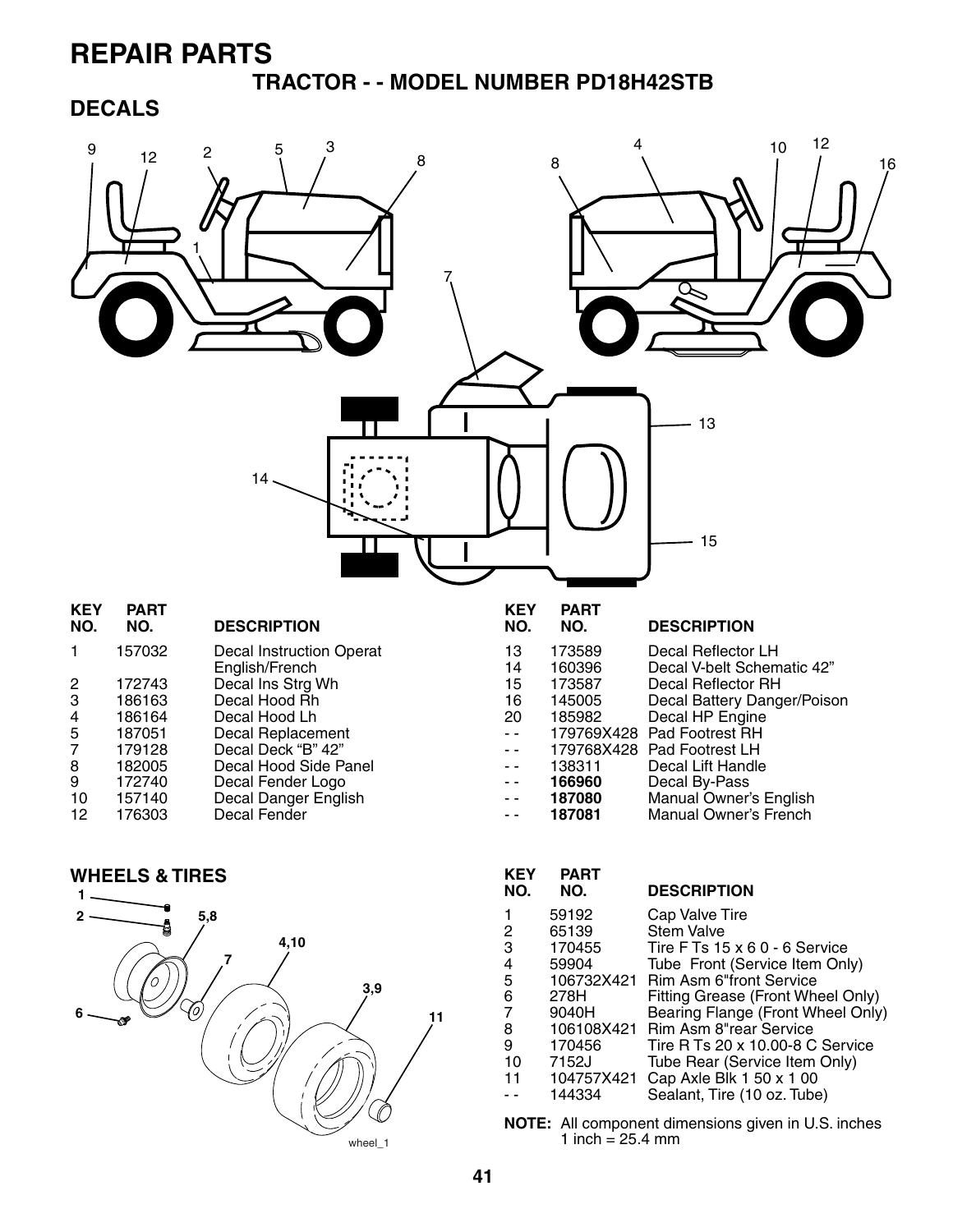#### **TRACTOR - - MODEL NUMBER PD18H42STB**

#### **DECALS**





| REY<br>NO. | PARI<br>NO. | <b>DESCRIPTION</b>                   |
|------------|-------------|--------------------------------------|
| 1          | 59192       | Cap Valve Tire                       |
| 2          | 65139       | Stem Valve                           |
| 3          | 170455      | Tire F Ts $15 \times 60 - 6$ Service |
| 4          | 59904       | Tube Front (Service Item Only)       |
| 5          |             | 106732X421 Rim Asm 6"front Service   |
| 6          | 278H        | Fitting Grease (Front Wheel Only)    |
| 7          | 9040H       | Bearing Flange (Front Wheel Only)    |
| 8          | 106108X421  | Rim Asm 8"rear Service               |
| 9          | 170456      | Tire R Ts 20 x 10.00-8 C Service     |
| 10         | 7152J       | Tube Rear (Service Item Only)        |
| 11         | 104757X421  | Cap Axle Blk 1 50 x 1 00             |
|            | 144334      | Sealant, Tire (10 oz. Tube)          |
|            |             |                                      |

**NOTE:** All component dimensions given in U.S. inches 1 inch =  $25.4 \text{ mm}$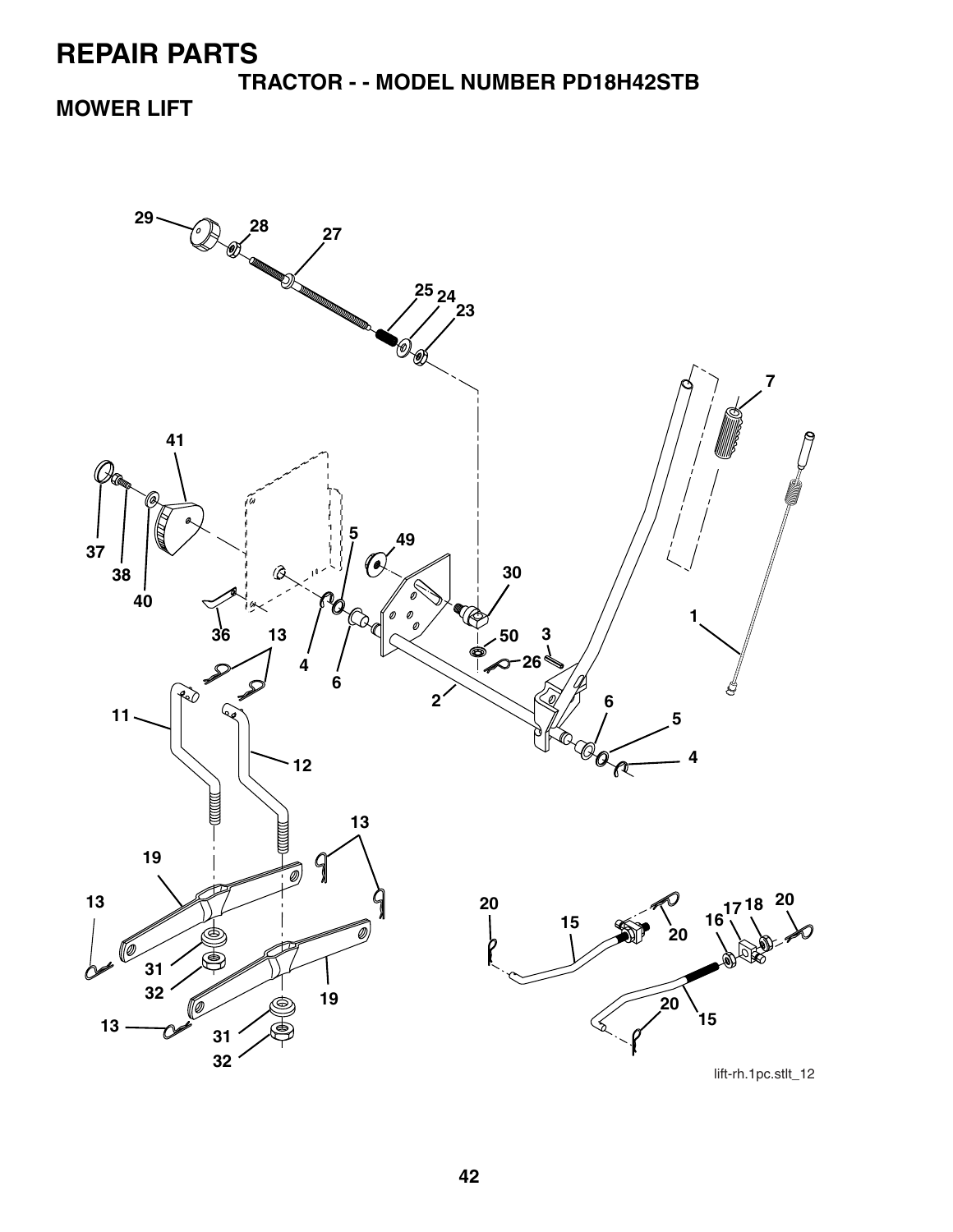**TRACTOR - - MODEL NUMBER PD18H42STB MOWER LIFT**



lift-rh.1pc.stlt\_12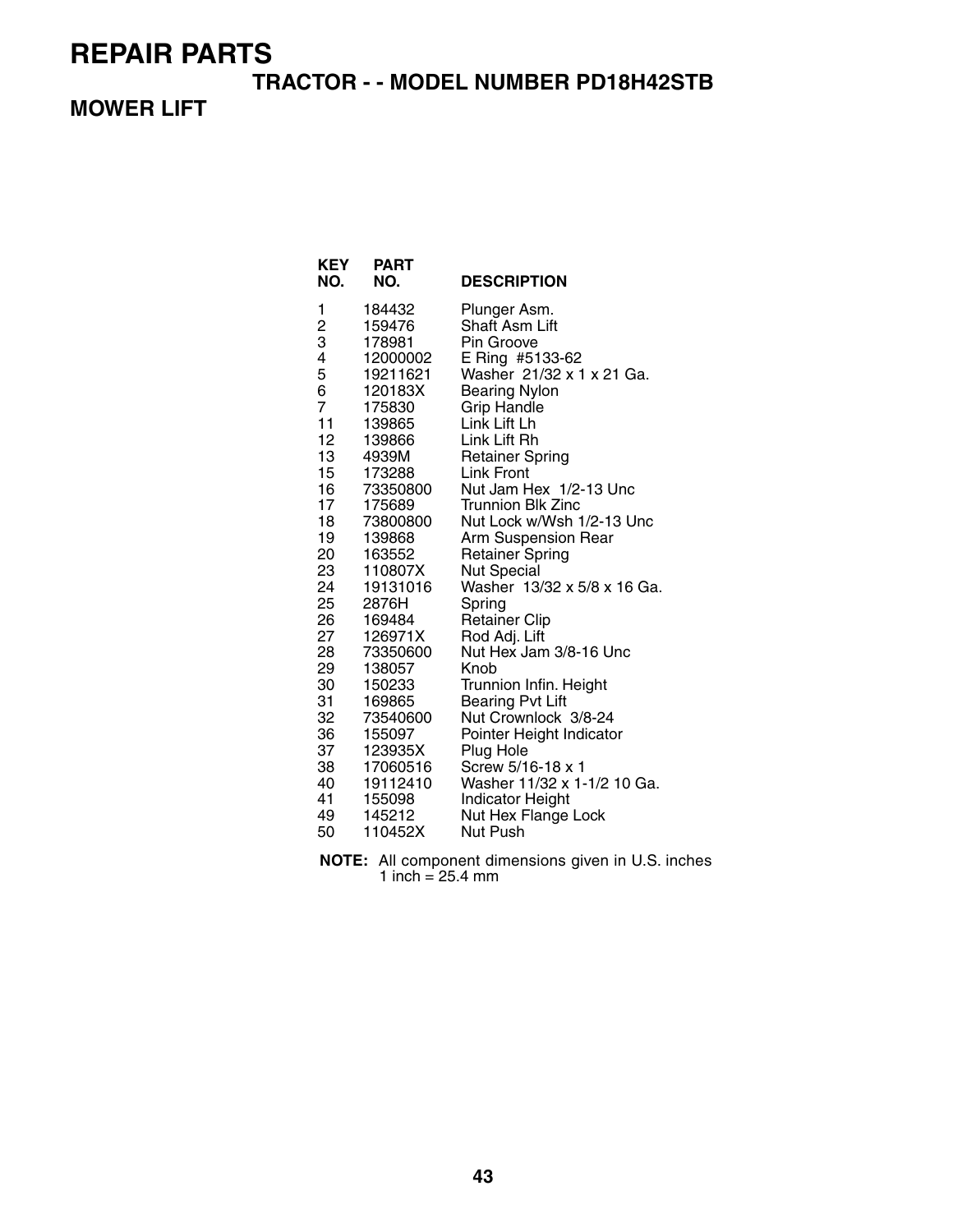#### **TRACTOR - - MODEL NUMBER PD18H42STB**

#### **MOWER LIFT**

| <b>KEY</b><br>NO. | <b>PART</b><br>NO.   | <b>DESCRIPTION</b>                                     |
|-------------------|----------------------|--------------------------------------------------------|
| 1                 | 184432               | Plunger Asm.                                           |
| 2                 | 159476               | <b>Shaft Asm Lift</b>                                  |
| 3                 | 178981               | Pin Groove                                             |
| 4                 | 12000002<br>19211621 | E Ring #5133-62<br>Washer 21/32 x 1 x 21 Ga.           |
| 5<br>6            | 120183X              | <b>Bearing Nylon</b>                                   |
| $\overline{7}$    | 175830               | <b>Grip Handle</b>                                     |
| 11                | 139865               | Link Lift Lh                                           |
| 12                | 139866               | Link Lift Rh                                           |
| 13                | 4939M                | <b>Retainer Spring</b>                                 |
| 15                | 173288               | Link Front                                             |
| 16                | 73350800             | Nut Jam Hex 1/2-13 Unc                                 |
| 17                | 175689               | <b>Trunnion Blk Zinc</b>                               |
| 18                | 73800800             | Nut Lock w/Wsh 1/2-13 Unc                              |
| 19                | 139868               | Arm Suspension Rear                                    |
| 20                | 163552               | <b>Retainer Spring</b>                                 |
| 23<br>24          | 110807X<br>19131016  | <b>Nut Special</b><br>Washer 13/32 x 5/8 x 16 Ga.      |
| 25                | 2876H                | Spring                                                 |
| 26                | 169484               | <b>Retainer Clip</b>                                   |
| 27                | 126971X              | Rod Adj. Lift                                          |
| 28                | 73350600             | Nut Hex Jam 3/8-16 Unc                                 |
| 29                | 138057               | Knob                                                   |
| 30                | 150233               | Trunnion Infin. Height                                 |
| 31                | 169865               | <b>Bearing Pvt Lift</b>                                |
| 32                | 73540600             | Nut Crownlock 3/8-24                                   |
| 36                | 155097               | Pointer Height Indicator                               |
| 37                | 123935X              | Plug Hole                                              |
| 38                | 17060516             | Screw 5/16-18 x 1                                      |
| 40<br>41          | 19112410<br>155098   | Washer 11/32 x 1-1/2 10 Ga.<br><b>Indicator Height</b> |
| 49                | 145212               | Nut Hex Flange Lock                                    |
| 50                | 110452X              | Nut Push                                               |

**NOTE:** All component dimensions given in U.S. inches 1 inch = 25.4 mm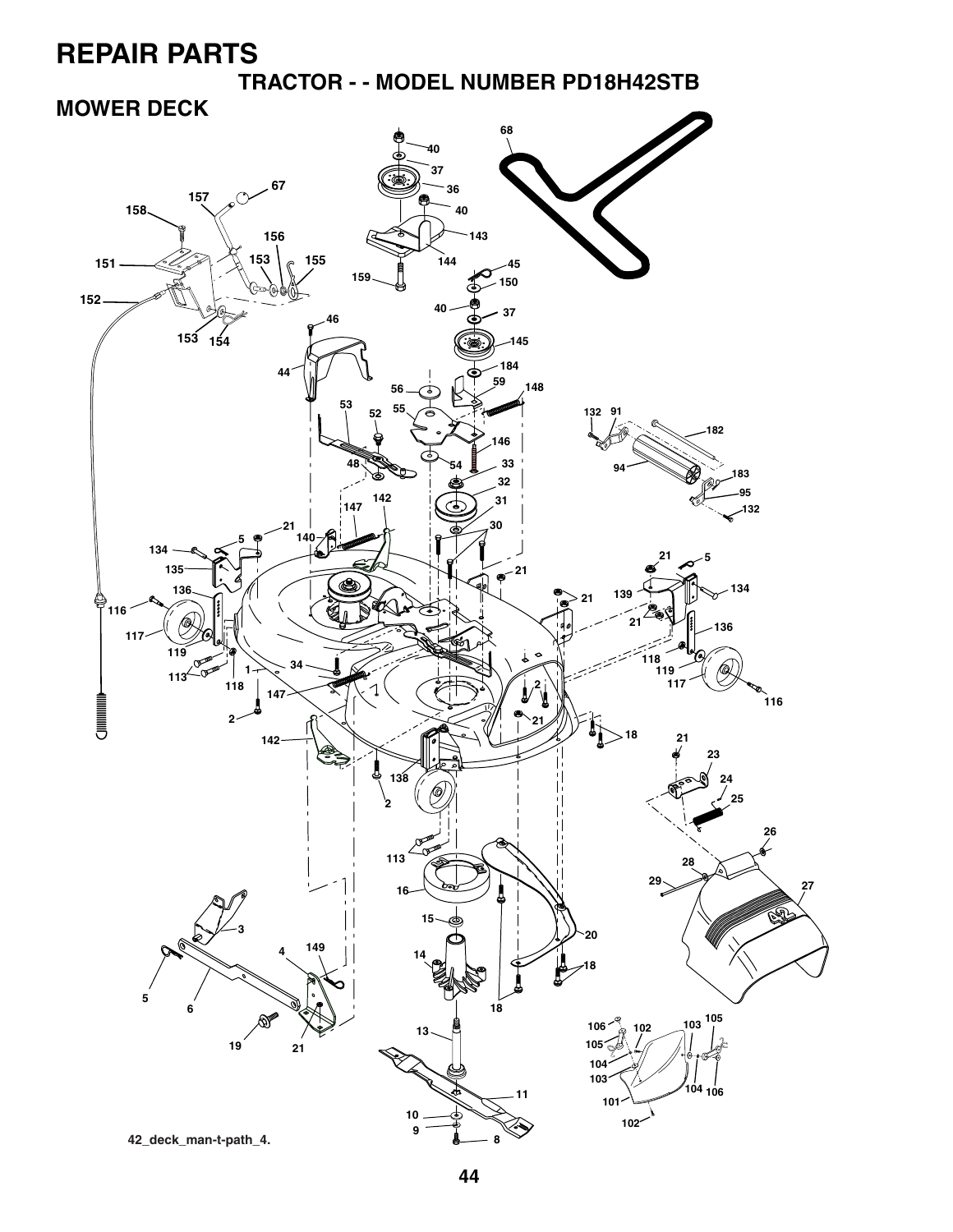**TRACTOR - - MODEL NUMBER PD18H42STB**

### **MOWER DECK**